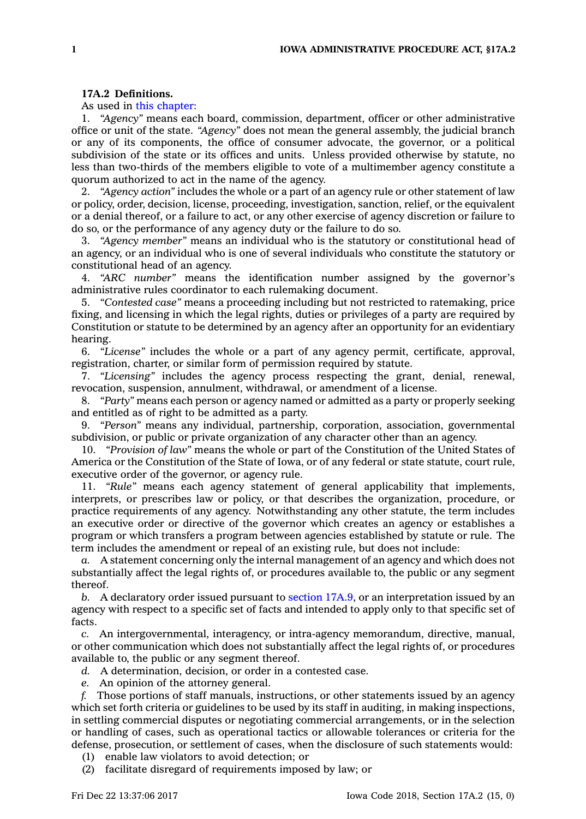## **17A.2 Definitions.**

As used in this [chapter](https://www.legis.iowa.gov/docs/code//17A.pdf):

1. *"Agency"* means each board, commission, department, officer or other administrative office or unit of the state. *"Agency"* does not mean the general assembly, the judicial branch or any of its components, the office of consumer advocate, the governor, or <sup>a</sup> political subdivision of the state or its offices and units. Unless provided otherwise by statute, no less than two-thirds of the members eligible to vote of <sup>a</sup> multimember agency constitute <sup>a</sup> quorum authorized to act in the name of the agency.

2. *"Agency action"* includes the whole or <sup>a</sup> part of an agency rule or other statement of law or policy, order, decision, license, proceeding, investigation, sanction, relief, or the equivalent or <sup>a</sup> denial thereof, or <sup>a</sup> failure to act, or any other exercise of agency discretion or failure to do so, or the performance of any agency duty or the failure to do so.

3. *"Agency member"* means an individual who is the statutory or constitutional head of an agency, or an individual who is one of several individuals who constitute the statutory or constitutional head of an agency.

4. *"ARC number"* means the identification number assigned by the governor's administrative rules coordinator to each rulemaking document.

5. *"Contested case"* means <sup>a</sup> proceeding including but not restricted to ratemaking, price fixing, and licensing in which the legal rights, duties or privileges of <sup>a</sup> party are required by Constitution or statute to be determined by an agency after an opportunity for an evidentiary hearing.

6. *"License"* includes the whole or <sup>a</sup> part of any agency permit, certificate, approval, registration, charter, or similar form of permission required by statute.

7. *"Licensing"* includes the agency process respecting the grant, denial, renewal, revocation, suspension, annulment, withdrawal, or amendment of <sup>a</sup> license.

8. *"Party"* means each person or agency named or admitted as <sup>a</sup> party or properly seeking and entitled as of right to be admitted as <sup>a</sup> party.

9. *"Person"* means any individual, partnership, corporation, association, governmental subdivision, or public or private organization of any character other than an agency.

10. *"Provision of law"* means the whole or part of the Constitution of the United States of America or the Constitution of the State of Iowa, or of any federal or state statute, court rule, executive order of the governor, or agency rule.

11. *"Rule"* means each agency statement of general applicability that implements, interprets, or prescribes law or policy, or that describes the organization, procedure, or practice requirements of any agency. Notwithstanding any other statute, the term includes an executive order or directive of the governor which creates an agency or establishes <sup>a</sup> program or which transfers <sup>a</sup> program between agencies established by statute or rule. The term includes the amendment or repeal of an existing rule, but does not include:

*a.* A statement concerning only the internal management of an agency and which does not substantially affect the legal rights of, or procedures available to, the public or any segment thereof.

*b.* A declaratory order issued pursuant to [section](https://www.legis.iowa.gov/docs/code/17A.9.pdf) 17A.9, or an interpretation issued by an agency with respect to <sup>a</sup> specific set of facts and intended to apply only to that specific set of facts.

*c.* An intergovernmental, interagency, or intra-agency memorandum, directive, manual, or other communication which does not substantially affect the legal rights of, or procedures available to, the public or any segment thereof.

*d.* A determination, decision, or order in <sup>a</sup> contested case.

*e.* An opinion of the attorney general.

*f.* Those portions of staff manuals, instructions, or other statements issued by an agency which set forth criteria or guidelines to be used by its staff in auditing, in making inspections, in settling commercial disputes or negotiating commercial arrangements, or in the selection or handling of cases, such as operational tactics or allowable tolerances or criteria for the defense, prosecution, or settlement of cases, when the disclosure of such statements would:

(1) enable law violators to avoid detection; or

(2) facilitate disregard of requirements imposed by law; or